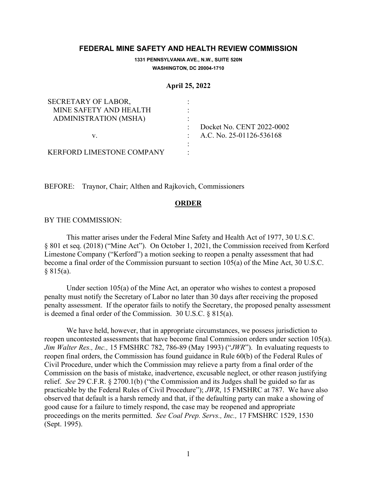# **FEDERAL MINE SAFETY AND HEALTH REVIEW COMMISSION**

**1331 PENNSYLVANIA AVE., N.W., SUITE 520N WASHINGTON, DC 20004-1710**

#### **April 25, 2022**

| <b>SECRETARY OF LABOR,</b>       |                            |
|----------------------------------|----------------------------|
| MINE SAFETY AND HEALTH           |                            |
| ADMINISTRATION (MSHA)            |                            |
|                                  | Docket No. CENT 2022-0002  |
| V.                               | : A.C. No. 25-01126-536168 |
|                                  |                            |
| <b>KERFORD LIMESTONE COMPANY</b> |                            |

BEFORE: Traynor, Chair; Althen and Rajkovich, Commissioners

# **ORDER**

## BY THE COMMISSION:

This matter arises under the Federal Mine Safety and Health Act of 1977, 30 U.S.C. § 801 et seq. (2018) ("Mine Act"). On October 1, 2021, the Commission received from Kerford Limestone Company ("Kerford") a motion seeking to reopen a penalty assessment that had become a final order of the Commission pursuant to section 105(a) of the Mine Act, 30 U.S.C. § 815(a).

Under section 105(a) of the Mine Act, an operator who wishes to contest a proposed penalty must notify the Secretary of Labor no later than 30 days after receiving the proposed penalty assessment. If the operator fails to notify the Secretary, the proposed penalty assessment is deemed a final order of the Commission. 30 U.S.C. § 815(a).

We have held, however, that in appropriate circumstances, we possess jurisdiction to reopen uncontested assessments that have become final Commission orders under section 105(a). *Jim Walter Res., Inc.,* 15 FMSHRC 782, 786-89 (May 1993) ("*JWR*"). In evaluating requests to reopen final orders, the Commission has found guidance in Rule 60(b) of the Federal Rules of Civil Procedure, under which the Commission may relieve a party from a final order of the Commission on the basis of mistake, inadvertence, excusable neglect, or other reason justifying relief. *See* 29 C.F.R. § 2700.1(b) ("the Commission and its Judges shall be guided so far as practicable by the Federal Rules of Civil Procedure"); *JWR*, 15 FMSHRC at 787. We have also observed that default is a harsh remedy and that, if the defaulting party can make a showing of good cause for a failure to timely respond, the case may be reopened and appropriate proceedings on the merits permitted. *See Coal Prep. Servs., Inc.,* 17 FMSHRC 1529, 1530 (Sept. 1995).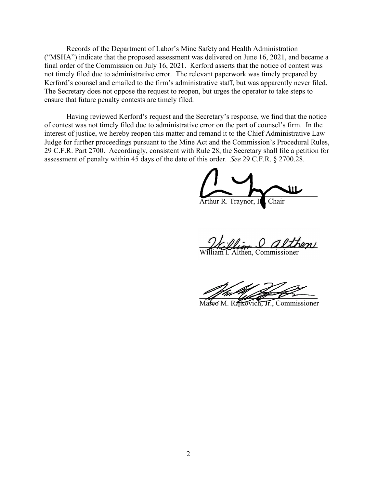Records of the Department of Labor's Mine Safety and Health Administration ("MSHA") indicate that the proposed assessment was delivered on June 16, 2021, and became a final order of the Commission on July 16, 2021. Kerford asserts that the notice of contest was not timely filed due to administrative error. The relevant paperwork was timely prepared by Kerford's counsel and emailed to the firm's administrative staff, but was apparently never filed. The Secretary does not oppose the request to reopen, but urges the operator to take steps to ensure that future penalty contests are timely filed.

Having reviewed Kerford's request and the Secretary's response, we find that the notice of contest was not timely filed due to administrative error on the part of counsel's firm. In the interest of justice, we hereby reopen this matter and remand it to the Chief Administrative Law Judge for further proceedings pursuant to the Mine Act and the Commission's Procedural Rules, 29 C.F.R. Part 2700. Accordingly, consistent with Rule 28, the Secretary shall file a petition for assessment of penalty within 45 days of the date of this order. *See* 29 C.F.R. § 2700.28.

 $\sim$   $\sim$   $\sim$ Arthur R. Traynor, II

William & althen

William I. Althen, Commissioner

\_\_\_\_\_\_\_\_\_\_\_\_\_\_\_\_\_\_\_\_\_\_\_\_\_\_\_\_\_\_\_\_

Mareo M. Rajkovich, Jr., Commissioner